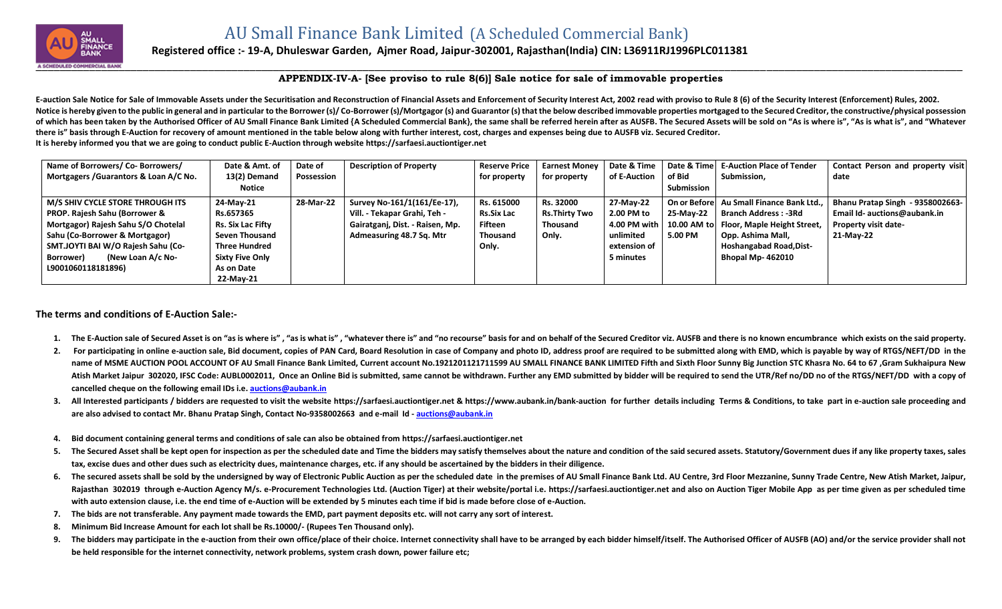

## **Registered office :- 19-A, Dhuleswar Garden, Ajmer Road, Jaipur-302001, Rajasthan(India) CIN: L36911RJ1996PLC011381**

## **APPENDIX-IV-A- [See proviso to rule 8(6)] Sale notice for sale of immovable properties**

E-auction Sale Notice for Sale of Immovable Assets under the Securitisation and Reconstruction of Financial Assets and Enforcement of Security Interest Act, 2002 read with proviso to Rule 8 (6) of the Security Interest (En Notice is hereby given to the public in general and in particular to the Borrower (s)/Co-Borrower (s)/Mortgagor (s) and Guarantor (s) that the below described immovable properties mortgaged to the Secured Creditor, the con of which has been taken by the Authorised Officer of AU Small Finance Bank Limited {A Scheduled Commercial Bank}, the same shall be referred herein after as AUSFB. The Secured Assets will be sold on "As is where is", "As i **there is" basis through E-Auction for recovery of amount mentioned in the table below along with further interest, cost, charges and expenses being due to AUSFB viz. Secured Creditor. It is hereby informed you that we are going to conduct public E-Auction through website [https://sarfaesi.auctiontiger.net](https://sarfaesi.auctiontiger.net/)** 

| Name of Borrowers/ Co- Borrowers/        | Date & Amt. of           | Date of    | <b>Description of Property</b>  | <b>Reserve Price</b> | <b>Earnest Monev</b> | Date & Time  |            | Date & Time E-Auction Place of Tender   | Contact Person and property visit |
|------------------------------------------|--------------------------|------------|---------------------------------|----------------------|----------------------|--------------|------------|-----------------------------------------|-----------------------------------|
| Mortgagers / Guarantors & Loan A/C No.   | 13(2) Demand             | Possession |                                 | for property         | for property         | of E-Auction | of Bid     | Submission,                             | date                              |
|                                          | Notice                   |            |                                 |                      |                      |              | Submission |                                         |                                   |
| M/S SHIV CYCLE STORE THROUGH ITS         | 24-May-21                | 28-Mar-22  | Survey No-161/1(161/Ee-17),     | Rs. 615000           | Rs. 32000            | 27-May-22    |            | On or Before Au Small Finance Bank Ltd  | Bhanu Pratap Singh - 9358002663-  |
| <b>PROP. Rajesh Sahu (Borrower &amp;</b> | Rs.657365                |            | Vill. - Tekapar Grahi, Teh -    | <b>Rs.Six Lac</b>    | <b>Rs.Thirty Two</b> | 2.00 PM to   | 25-Mav-22  | <b>Branch Address : -3Rd</b>            | Email Id- auctions@aubank.in      |
| Mortgagor) Rajesh Sahu S/O Chotelal      | <b>Rs. Six Lac Fifty</b> |            | Gairatganj, Dist. - Raisen, Mp. | Fifteen              | Thousand             | 4.00 PM with |            | 10.00 AM to Floor, Maple Height Street, | <b>Property visit date-</b>       |
| Sahu (Co-Borrower & Mortgagor)           | <b>Seven Thousand</b>    |            | Admeasuring 48.7 Sq. Mtr        | <b>Thousand</b>      | Only.                | unlimited    | 5.00 PM    | Opp. Ashima Mall,                       | 21-May-22                         |
| SMT.JOYTI BAI W/O Rajesh Sahu (Co-       | <b>Three Hundred</b>     |            |                                 | Only.                |                      | extension of |            | <b>Hoshangabad Road, Dist-</b>          |                                   |
| (New Loan A/c No-<br>Borrower)           | <b>Sixty Five Only</b>   |            |                                 |                      |                      | 5 minutes    |            | Bhopal Mp-462010                        |                                   |
| L9001060118181896)                       | As on Date               |            |                                 |                      |                      |              |            |                                         |                                   |
|                                          | 22-May-21                |            |                                 |                      |                      |              |            |                                         |                                   |

## **The terms and conditions of E-Auction Sale:-**

- 1. The E-Auction sale of Secured Asset is on "as is where is", "as is what is", "whatever there is" and "no recourse" basis for and on behalf of the Secured Creditor viz. AUSFB and there is no known encumbrance which exist
- 2. For participating in online e-auction sale, Bid document, copies of PAN Card, Board Resolution in case of Company and photo ID, address proof are required to be submitted along with EMD, which is payable by way of RTGS/ name of MSME AUCTION POOL ACCOUNT OF AU Small Finance Bank Limited, Current account No.1921201121711599 AU SMALL FINANCE BANK LIMITED Fifth and Sixth Floor Sunny Big Junction STC Khasra No. 64 to 67, Gram Sukhaipura New Atish Market Jaipur 302020, IFSC Code: AUBL0002011, Once an Online Bid is submitted, same cannot be withdrawn. Further any EMD submitted by bidder will be required to send the UTR/Ref no/DD no of the RTGS/NEFT/DD with a co **cancelled cheque on the following email IDs i.e. [auctions@aubank.in](mailto:auctions@aubank.in)**
- 3. All Interested participants / bidders are requested to visit the website [https://sarfaesi.auctiontiger.net](https://sarfaesi.auctiontiger.net/) & https://www.aubank.in/bank-auction for further details including Terms & Conditions, to take part in e-auction **are also advised to contact Mr. Bhanu Pratap Singh, Contact No-9358002663 and e-mail Id - [auctions@aubank.in](mailto:auctions@aubank.in)**
- **4. Bid document containing general terms and conditions of sale can also be obtained fro[m https://sarfaesi.auctiontiger.net](https://edelweissarc.auctiontiger.net/)**
- 5. The Secured Asset shall be kept open for inspection as per the scheduled date and Time the bidders may satisfy themselves about the nature and condition of the said secured assets. Statutory/Government dues if any like **tax, excise dues and other dues such as electricity dues, maintenance charges, etc. if any should be ascertained by the bidders in their diligence.**
- 6. The secured assets shall be sold by the undersigned by way of Electronic Public Auction as per the scheduled date in the premises of AU Small Finance Bank Ltd. AU Centre, 3rd Floor Mezzanine, Sunny Trade Centre, New Ati Rajasthan 302019 through e-Auction Agency M/s. e-Procurement Technologies Ltd. (Auction Tiger) at their website/portal i.e. [https://sarfaesi.auctiontiger.net](https://sarfaesi.auctiontiger.net/) and also on Auction Tiger Mobile App as per time given as per sc **with auto extension clause, i.e. the end time of e-Auction will be extended by 5 minutes each time if bid is made before close of e-Auction.**
- **7. The bids are not transferable. Any payment made towards the EMD, part payment deposits etc. will not carry any sort of interest.**
- **8. Minimum Bid Increase Amount for each lot shall be Rs.10000/- (Rupees Ten Thousand only).**
- 9. The bidders may participate in the e-auction from their own office/place of their choice. Internet connectivity shall have to be arranged by each bidder himself/itself. The Authorised Officer of AUSFB (AO) and/or the se **be held responsible for the internet connectivity, network problems, system crash down, power failure etc;**